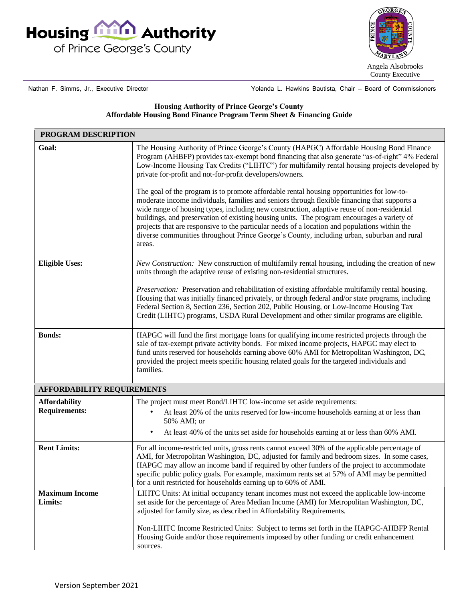



Nathan F. Simms, Jr., Executive Director

Yolanda L. Hawkins Bautista, Chair — Board of Commissioners

## **Housing Authority of Prince George's County Affordable Housing Bond Finance Program Term Sheet & Financing Guide**

| PROGRAM DESCRIPTION                          |                                                                                                                                                                                                                                                                                                                                                                                                                                                                                                                                                                                                                                                                                                                                                                                                                                                                                                                                                          |
|----------------------------------------------|----------------------------------------------------------------------------------------------------------------------------------------------------------------------------------------------------------------------------------------------------------------------------------------------------------------------------------------------------------------------------------------------------------------------------------------------------------------------------------------------------------------------------------------------------------------------------------------------------------------------------------------------------------------------------------------------------------------------------------------------------------------------------------------------------------------------------------------------------------------------------------------------------------------------------------------------------------|
| Goal:                                        | The Housing Authority of Prince George's County (HAPGC) Affordable Housing Bond Finance<br>Program (AHBFP) provides tax-exempt bond financing that also generate "as-of-right" 4% Federal<br>Low-Income Housing Tax Credits ("LIHTC") for multifamily rental housing projects developed by<br>private for-profit and not-for-profit developers/owners.<br>The goal of the program is to promote affordable rental housing opportunities for low-to-<br>moderate income individuals, families and seniors through flexible financing that supports a<br>wide range of housing types, including new construction, adaptive reuse of non-residential<br>buildings, and preservation of existing housing units. The program encourages a variety of<br>projects that are responsive to the particular needs of a location and populations within the<br>diverse communities throughout Prince George's County, including urban, suburban and rural<br>areas. |
| <b>Eligible Uses:</b>                        | <i>New Construction:</i> New construction of multifamily rental housing, including the creation of new<br>units through the adaptive reuse of existing non-residential structures.<br>Preservation: Preservation and rehabilitation of existing affordable multifamily rental housing.<br>Housing that was initially financed privately, or through federal and/or state programs, including<br>Federal Section 8, Section 236, Section 202, Public Housing, or Low-Income Housing Tax<br>Credit (LIHTC) programs, USDA Rural Development and other similar programs are eligible.                                                                                                                                                                                                                                                                                                                                                                       |
| <b>Bonds:</b>                                | HAPGC will fund the first mortgage loans for qualifying income restricted projects through the<br>sale of tax-exempt private activity bonds. For mixed income projects, HAPGC may elect to<br>fund units reserved for households earning above 60% AMI for Metropolitan Washington, DC,<br>provided the project meets specific housing related goals for the targeted individuals and<br>families.                                                                                                                                                                                                                                                                                                                                                                                                                                                                                                                                                       |
| <b>AFFORDABILITY REQUIREMENTS</b>            |                                                                                                                                                                                                                                                                                                                                                                                                                                                                                                                                                                                                                                                                                                                                                                                                                                                                                                                                                          |
| <b>Affordability</b><br><b>Requirements:</b> | The project must meet Bond/LIHTC low-income set aside requirements:<br>At least 20% of the units reserved for low-income households earning at or less than<br>50% AMI; or<br>At least 40% of the units set aside for households earning at or less than 60% AMI.<br>$\bullet$                                                                                                                                                                                                                                                                                                                                                                                                                                                                                                                                                                                                                                                                           |
| <b>Rent Limits:</b>                          | For all income-restricted units, gross rents cannot exceed 30% of the applicable percentage of<br>AMI, for Metropolitan Washington, DC, adjusted for family and bedroom sizes. In some cases,<br>HAPGC may allow an income band if required by other funders of the project to accommodate<br>specific public policy goals. For example, maximum rents set at 57% of AMI may be permitted<br>for a unit restricted for households earning up to 60% of AMI.                                                                                                                                                                                                                                                                                                                                                                                                                                                                                              |
| <b>Maximum Income</b><br>Limits:             | LIHTC Units: At initial occupancy tenant incomes must not exceed the applicable low-income<br>set aside for the percentage of Area Median Income (AMI) for Metropolitan Washington, DC,<br>adjusted for family size, as described in Affordability Requirements.<br>Non-LIHTC Income Restricted Units: Subject to terms set forth in the HAPGC-AHBFP Rental<br>Housing Guide and/or those requirements imposed by other funding or credit enhancement<br>sources.                                                                                                                                                                                                                                                                                                                                                                                                                                                                                        |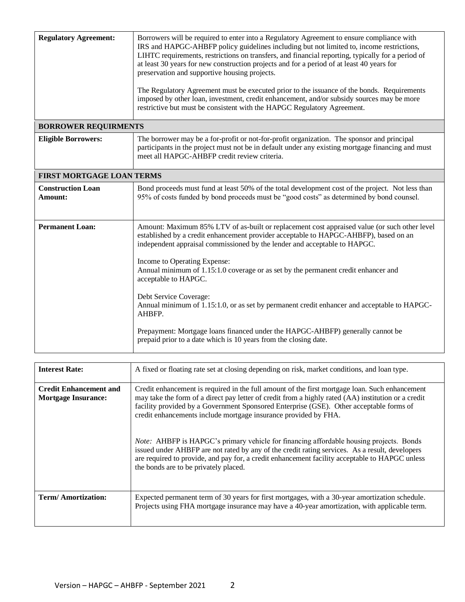| <b>Regulatory Agreement:</b>        | Borrowers will be required to enter into a Regulatory Agreement to ensure compliance with<br>IRS and HAPGC-AHBFP policy guidelines including but not limited to, income restrictions,<br>LIHTC requirements, restrictions on transfers, and financial reporting, typically for a period of |  |
|-------------------------------------|--------------------------------------------------------------------------------------------------------------------------------------------------------------------------------------------------------------------------------------------------------------------------------------------|--|
|                                     | at least 30 years for new construction projects and for a period of at least 40 years for<br>preservation and supportive housing projects.                                                                                                                                                 |  |
|                                     | The Regulatory Agreement must be executed prior to the issuance of the bonds. Requirements<br>imposed by other loan, investment, credit enhancement, and/or subsidy sources may be more<br>restrictive but must be consistent with the HAPGC Regulatory Agreement.                         |  |
| <b>BORROWER REQUIRMENTS</b>         |                                                                                                                                                                                                                                                                                            |  |
| <b>Eligible Borrowers:</b>          | The borrower may be a for-profit or not-for-profit organization. The sponsor and principal<br>participants in the project must not be in default under any existing mortgage financing and must<br>meet all HAPGC-AHBFP credit review criteria.                                            |  |
|                                     | FIRST MORTGAGE LOAN TERMS                                                                                                                                                                                                                                                                  |  |
| <b>Construction Loan</b><br>Amount: | Bond proceeds must fund at least 50% of the total development cost of the project. Not less than<br>95% of costs funded by bond proceeds must be "good costs" as determined by bond counsel.                                                                                               |  |
| <b>Permanent Loan:</b>              | Amount: Maximum 85% LTV of as-built or replacement cost appraised value (or such other level<br>established by a credit enhancement provider acceptable to HAPGC-AHBFP), based on an<br>independent appraisal commissioned by the lender and acceptable to HAPGC.                          |  |
|                                     | Income to Operating Expense:<br>Annual minimum of 1.15:1.0 coverage or as set by the permanent credit enhancer and<br>acceptable to HAPGC.                                                                                                                                                 |  |
|                                     | Debt Service Coverage:<br>Annual minimum of 1.15:1.0, or as set by permanent credit enhancer and acceptable to HAPGC-<br>AHBFP.                                                                                                                                                            |  |
|                                     | Prepayment: Mortgage loans financed under the HAPGC-AHBFP) generally cannot be<br>prepaid prior to a date which is 10 years from the closing date.                                                                                                                                         |  |

| <b>Interest Rate:</b>                                       | A fixed or floating rate set at closing depending on risk, market conditions, and loan type.                                                                                                                                                                                                                                                                                                                                                                                                                                                                                                                                                                                                                       |
|-------------------------------------------------------------|--------------------------------------------------------------------------------------------------------------------------------------------------------------------------------------------------------------------------------------------------------------------------------------------------------------------------------------------------------------------------------------------------------------------------------------------------------------------------------------------------------------------------------------------------------------------------------------------------------------------------------------------------------------------------------------------------------------------|
| <b>Credit Enhancement and</b><br><b>Mortgage Insurance:</b> | Credit enhancement is required in the full amount of the first mortgage loan. Such enhancement<br>may take the form of a direct pay letter of credit from a highly rated (AA) institution or a credit<br>facility provided by a Government Sponsored Enterprise (GSE). Other acceptable forms of<br>credit enhancements include mortgage insurance provided by FHA.<br><i>Note:</i> AHBFP is HAPGC's primary vehicle for financing affordable housing projects. Bonds<br>issued under AHBFP are not rated by any of the credit rating services. As a result, developers<br>are required to provide, and pay for, a credit enhancement facility acceptable to HAPGC unless<br>the bonds are to be privately placed. |
| <b>Term/Amortization:</b>                                   | Expected permanent term of 30 years for first mortgages, with a 30-year amortization schedule.<br>Projects using FHA mortgage insurance may have a 40-year amortization, with applicable term.                                                                                                                                                                                                                                                                                                                                                                                                                                                                                                                     |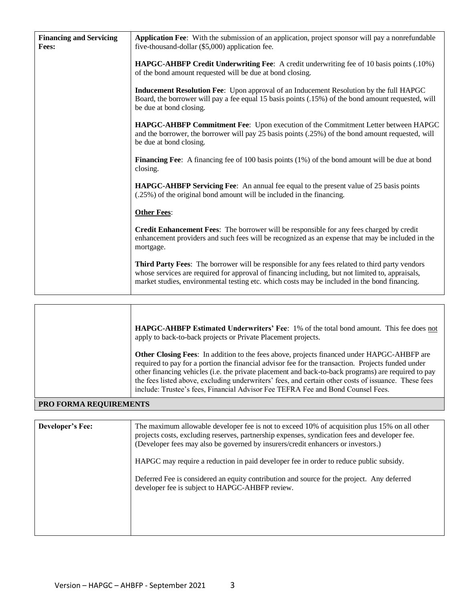| <b>Financing and Servicing</b><br>Fees: | Application Fee: With the submission of an application, project sponsor will pay a nonrefundable<br>five-thousand-dollar (\$5,000) application fee.                                                                                                                                                 |
|-----------------------------------------|-----------------------------------------------------------------------------------------------------------------------------------------------------------------------------------------------------------------------------------------------------------------------------------------------------|
|                                         | HAPGC-AHBFP Credit Underwriting Fee: A credit underwriting fee of 10 basis points (.10%)<br>of the bond amount requested will be due at bond closing.                                                                                                                                               |
|                                         | <b>Inducement Resolution Fee:</b> Upon approval of an Inducement Resolution by the full HAPGC<br>Board, the borrower will pay a fee equal 15 basis points (.15%) of the bond amount requested, will<br>be due at bond closing.                                                                      |
|                                         | HAPGC-AHBFP Commitment Fee: Upon execution of the Commitment Letter between HAPGC<br>and the borrower, the borrower will pay 25 basis points (.25%) of the bond amount requested, will<br>be due at bond closing.                                                                                   |
|                                         | <b>Financing Fee:</b> A financing fee of 100 basis points (1%) of the bond amount will be due at bond<br>closing.                                                                                                                                                                                   |
|                                         | <b>HAPGC-AHBFP Servicing Fee:</b> An annual fee equal to the present value of 25 basis points<br>(.25%) of the original bond amount will be included in the financing.                                                                                                                              |
|                                         | <b>Other Fees:</b>                                                                                                                                                                                                                                                                                  |
|                                         | <b>Credit Enhancement Fees:</b> The borrower will be responsible for any fees charged by credit<br>enhancement providers and such fees will be recognized as an expense that may be included in the<br>mortgage.                                                                                    |
|                                         | Third Party Fees: The borrower will be responsible for any fees related to third party vendors<br>whose services are required for approval of financing including, but not limited to, appraisals,<br>market studies, environmental testing etc. which costs may be included in the bond financing. |

|                        | <b>HAPGC-AHBFP Estimated Underwriters' Fee: 1% of the total bond amount. This fee does not</b><br>apply to back-to-back projects or Private Placement projects.<br><b>Other Closing Fees:</b> In addition to the fees above, projects financed under HAPGC-AHBFP are<br>required to pay for a portion the financial advisor fee for the transaction. Projects funded under<br>other financing vehicles (i.e. the private placement and back-to-back programs) are required to pay<br>the fees listed above, excluding underwriters' fees, and certain other costs of issuance. These fees<br>include: Trustee's fees, Financial Advisor Fee TEFRA Fee and Bond Counsel Fees. |
|------------------------|------------------------------------------------------------------------------------------------------------------------------------------------------------------------------------------------------------------------------------------------------------------------------------------------------------------------------------------------------------------------------------------------------------------------------------------------------------------------------------------------------------------------------------------------------------------------------------------------------------------------------------------------------------------------------|
| PRO FORMA REQUIREMENTS |                                                                                                                                                                                                                                                                                                                                                                                                                                                                                                                                                                                                                                                                              |

| <b>Developer's Fee:</b> | The maximum allowable developer fee is not to exceed 10% of acquisition plus 15% on all other<br>projects costs, excluding reserves, partnership expenses, syndication fees and developer fee.<br>(Developer fees may also be governed by insurers/credit enhancers or investors.) |
|-------------------------|------------------------------------------------------------------------------------------------------------------------------------------------------------------------------------------------------------------------------------------------------------------------------------|
|                         | HAPGC may require a reduction in paid developer fee in order to reduce public subsidy.                                                                                                                                                                                             |
|                         | Deferred Fee is considered an equity contribution and source for the project. Any deferred<br>developer fee is subject to HAPGC-AHBFP review.                                                                                                                                      |
|                         |                                                                                                                                                                                                                                                                                    |